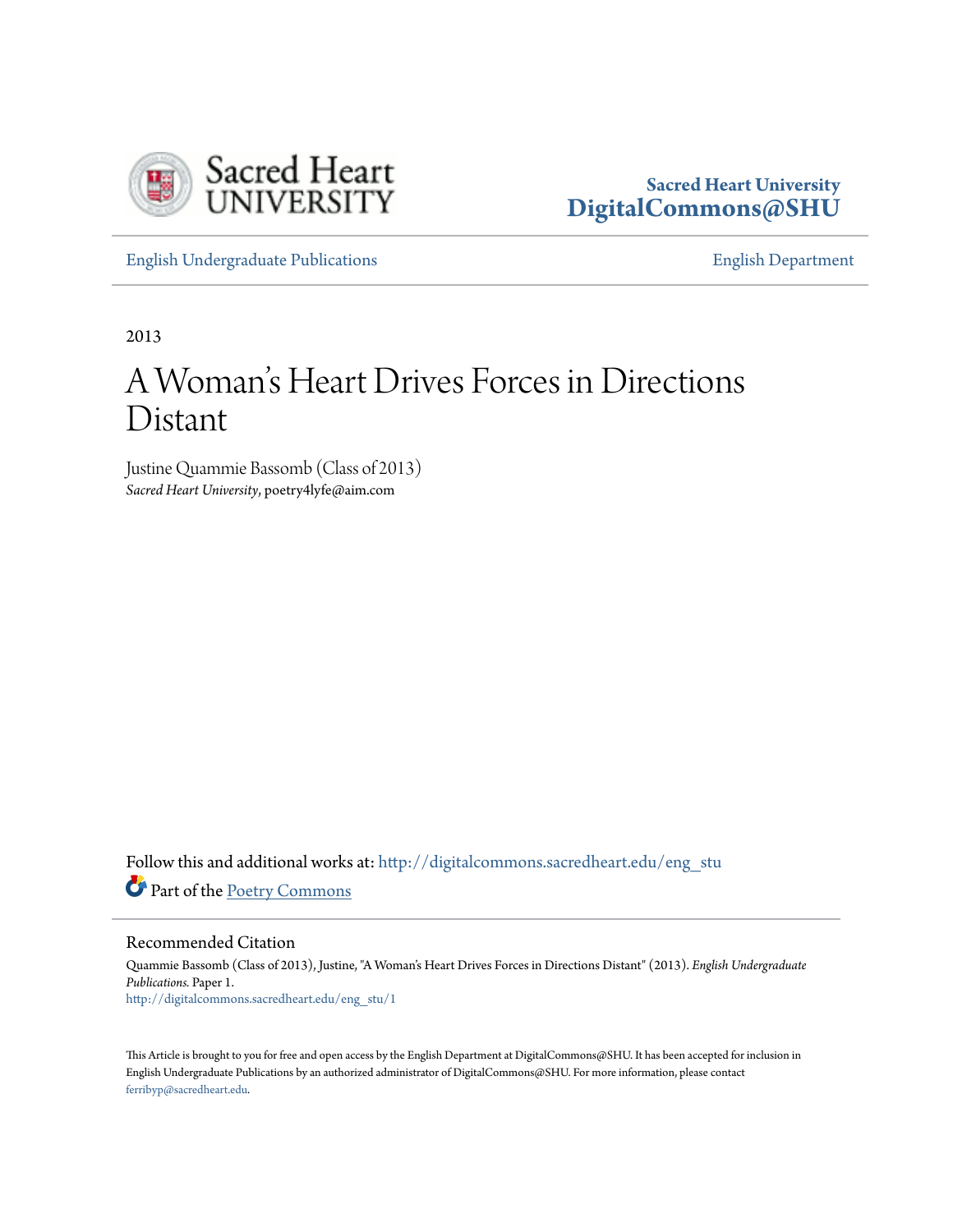



[English Undergraduate Publications](http://digitalcommons.sacredheart.edu/eng_stu?utm_source=digitalcommons.sacredheart.edu%2Feng_stu%2F1&utm_medium=PDF&utm_campaign=PDFCoverPages) [English Department](http://digitalcommons.sacredheart.edu/eng?utm_source=digitalcommons.sacredheart.edu%2Feng_stu%2F1&utm_medium=PDF&utm_campaign=PDFCoverPages)

2013

## A Woman 's Heart Drives Forces in Directions Distant

Justine Quammie Bassomb (Class of 2013) *Sacred Heart University*, poetry4lyfe@aim.com

Follow this and additional works at: [http://digitalcommons.sacredheart.edu/eng\\_stu](http://digitalcommons.sacredheart.edu/eng_stu?utm_source=digitalcommons.sacredheart.edu%2Feng_stu%2F1&utm_medium=PDF&utm_campaign=PDFCoverPages) Part of the [Poetry Commons](http://network.bepress.com/hgg/discipline/1153?utm_source=digitalcommons.sacredheart.edu%2Feng_stu%2F1&utm_medium=PDF&utm_campaign=PDFCoverPages)

Recommended Citation

Quammie Bassomb (Class of 2013), Justine, "A Woman's Heart Drives Forces in Directions Distant" (2013). *English Undergraduate Publications.* Paper 1. [http://digitalcommons.sacredheart.edu/eng\\_stu/1](http://digitalcommons.sacredheart.edu/eng_stu/1?utm_source=digitalcommons.sacredheart.edu%2Feng_stu%2F1&utm_medium=PDF&utm_campaign=PDFCoverPages)

This Article is brought to you for free and open access by the English Department at DigitalCommons@SHU. It has been accepted for inclusion in English Undergraduate Publications by an authorized administrator of DigitalCommons@SHU. For more information, please contact [ferribyp@sacredheart.edu](mailto:ferribyp@sacredheart.edu).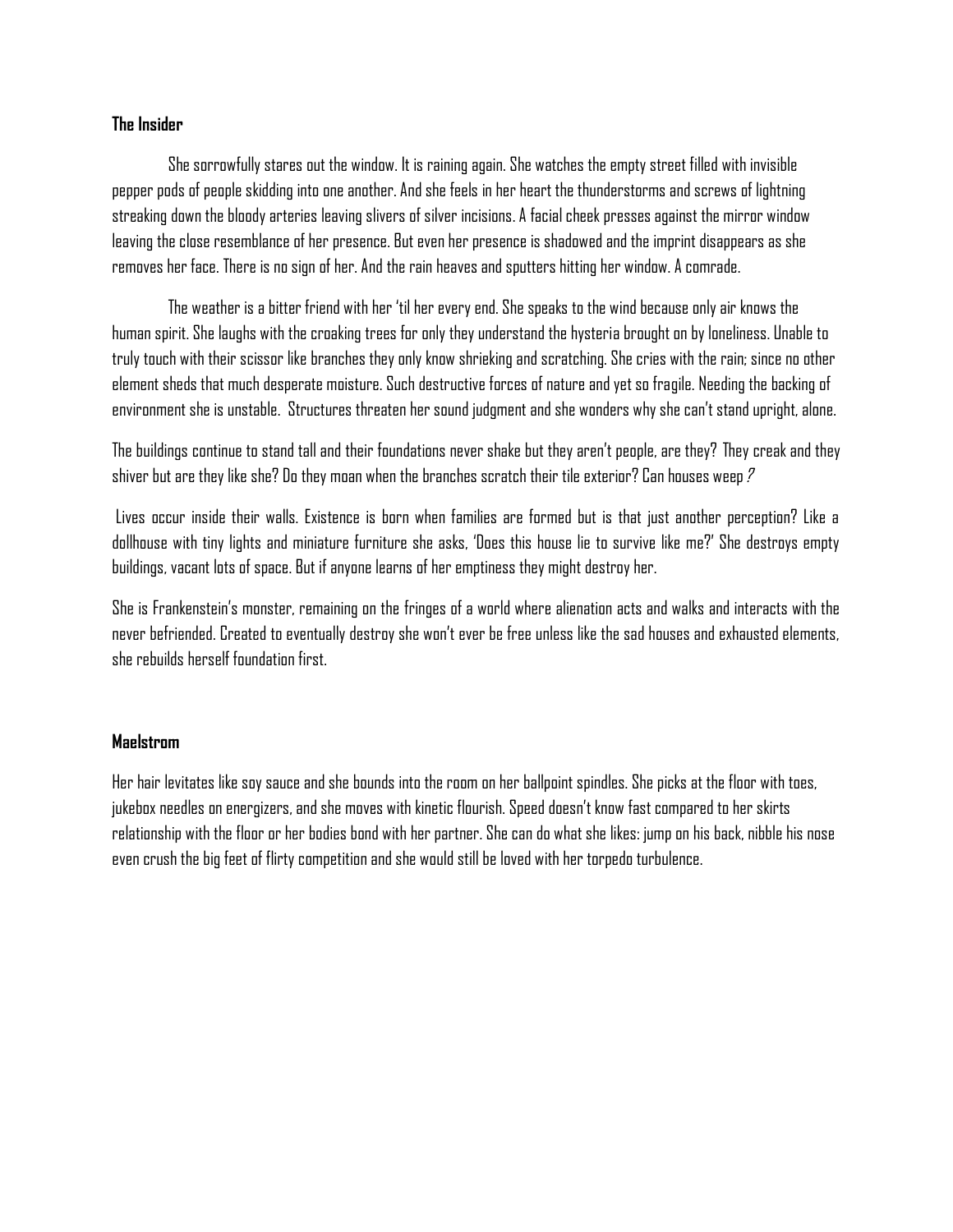## **The Insider**

She sorrowfully stares out the window. It is raining again. She watches the empty street filled with invisible pepper pods of people skidding into one another. And she feels in her heart the thunderstorms and screws of lightning streaking down the bloody arteries leaving slivers of silver incisions. A facial cheek presses against the mirror window leaving the close resemblance of her presence. But even her presence is shadowed and the imprint disappears as she removes her face. There is no sign of her. And the rain heaves and sputters hitting her window. A comrade.

The weather is a bitter friend with her 'til her every end. She speaks to the wind because only air knows the human spirit. She laughs with the croaking trees for only they understand the hysteria brought on by loneliness. Unable to truly touch with their scissor like branches they only know shrieking and scratching. She cries with the rain; since no other element sheds that much desperate moisture. Such destructive forces of nature and yet so fragile. Needing the backing of environment she is unstable. Structures threaten her sound judgment and she wonders why she can't stand upright, alone.

The buildings continue to stand tall and their foundations never shake but they aren't people, are they? They creak and they shiver but are they like she? Do they moan when the branches scratch their tile exterior? Can houses weep?

Lives occur inside their walls. Existence is born when families are formed but is that just another perception? Like a dollhouse with tiny lights and miniature furniture she asks, 'Does this house lie to survive like me?' She destroys empty buildings, vacant lots of space. But if anyone learns of her emptiness they might destroy her.

She is Frankenstein's monster, remaining on the fringes of a world where alienation acts and walks and interacts with the never befriended. Created to eventually destroy she won't ever be free unless like the sad houses and exhausted elements, she rebuilds herself foundation first.

## **Maelstrom**

Her hair levitates like soy sauce and she bounds into the room on her ballpoint spindles. She picks at the floor with toes, jukebox needles on energizers, and she moves with kinetic flourish. Speed doesn't know fast compared to her skirts relationship with the floor or her bodies bond with her partner. She can do what she likes: jump on his back, nibble his nose even crush the big feet of flirty competition and she would still be loved with her torpedo turbulence.